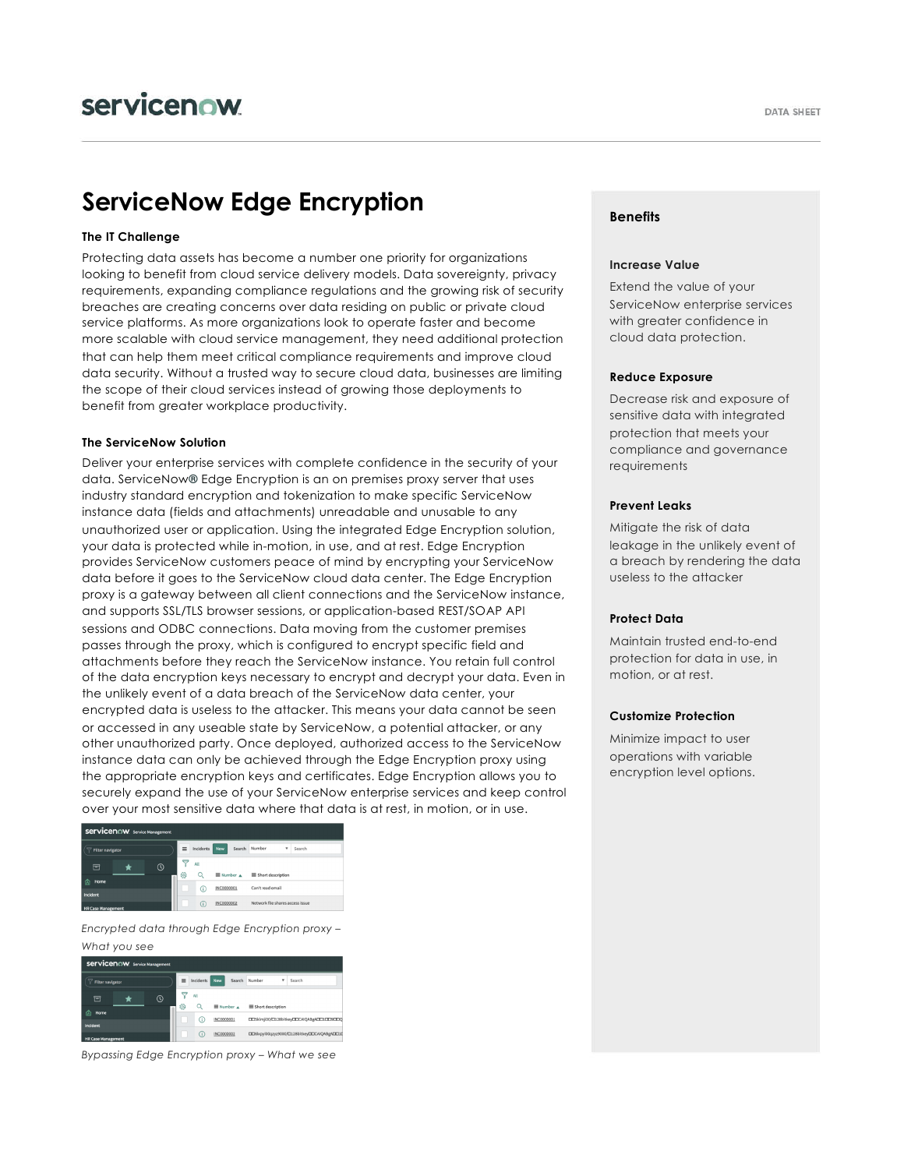# **ServiceNow Edge Encryption**

## **The IT Challenge**

Protecting data assets has become a number one priority for organizations looking to benefit from cloud service delivery models. Data sovereignty, privacy requirements, expanding compliance regulations and the growing risk of security breaches are creating concerns over data residing on public or private cloud service platforms. As more organizations look to operate faster and become more scalable with cloud service management, they need additional protection that can help them meet critical compliance requirements and improve cloud data security. Without a trusted way to secure cloud data, businesses are limiting the scope of their cloud services instead of growing those deployments to benefit from greater workplace productivity.

#### **The ServiceNow Solution**

Deliver your enterprise services with complete confidence in the security of your data. ServiceNow**®** Edge Encryption is an on premises proxy server that uses industry standard encryption and tokenization to make specific ServiceNow instance data (fields and attachments) unreadable and unusable to any unauthorized user or application. Using the integrated Edge Encryption solution, your data is protected while in-motion, in use, and at rest. Edge Encryption provides ServiceNow customers peace of mind by encrypting your ServiceNow data before it goes to the ServiceNow cloud data center. The Edge Encryption proxy is a gateway between all client connections and the ServiceNow instance, and supports SSL/TLS browser sessions, or application-based REST/SOAP API sessions and ODBC connections. Data moving from the customer premises passes through the proxy, which is configured to encrypt specific field and attachments before they reach the ServiceNow instance. You retain full control of the data encryption keys necessary to encrypt and decrypt your data. Even in the unlikely event of a data breach of the ServiceNow data center, your encrypted data is useless to the attacker. This means your data cannot be seen or accessed in any useable state by ServiceNow, a potential attacker, or any other unauthorized party. Once deployed, authorized access to the ServiceNow instance data can only be achieved through the Edge Encryption proxy using the appropriate encryption keys and certificates. Edge Encryption allows you to securely expand the use of your ServiceNow enterprise services and keep control over your most sensitive data where that data is at rest, in motion, or in use.



## *Encrypted data through Edge Encryption proxy – What you see*

| <b>Servicenow</b> Service Management |    |           |            |        |                   |   |                                                     |  |
|--------------------------------------|----|-----------|------------|--------|-------------------|---|-----------------------------------------------------|--|
| Filter navisator                     | ≕  | Incidents | New        | Search | Number            | ۷ | Search                                              |  |
| ര<br>冒                               |    | All       |            |        |                   |   |                                                     |  |
| Home<br>僑                            | ŵ, |           | ■ Number A |        | Short description |   |                                                     |  |
|                                      |    | ⋒         | INC0000001 |        |                   |   | CICISklmji00/CI128bitkeyCICICAIQABgACICILICIOSCICIQ |  |
| Incident                             |    |           |            |        |                   |   |                                                     |  |
| <b>HR Case Management</b>            |    | Œ         | INC0000002 |        |                   |   | CID6b:pyi00gzyz9000/CI128bitkeyCIDCAI0ABgACID1D     |  |

*Bypassing Edge Encryption proxy – What we see* 

## **Benefits**

#### **Increase Value**

Extend the value of your ServiceNow enterprise services with greater confidence in cloud data protection.

#### **Reduce Exposure**

Decrease risk and exposure of sensitive data with integrated protection that meets your compliance and governance requirements

#### **Prevent Leaks**

Mitigate the risk of data leakage in the unlikely event of a breach by rendering the data useless to the attacker

#### **Protect Data**

Maintain trusted end-to-end protection for data in use, in motion, or at rest.

#### **Customize Protection**

Minimize impact to user operations with variable encryption level options.